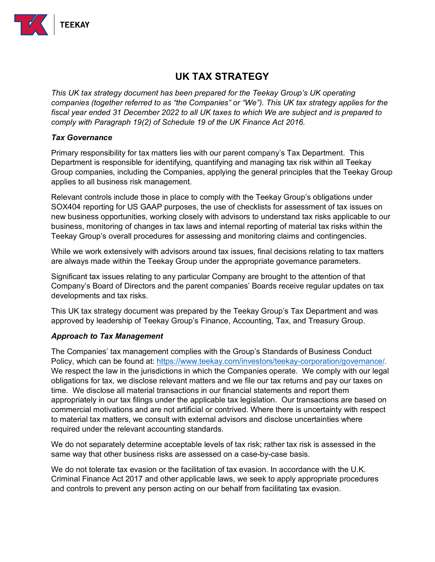

## **UK TAX STRATEGY**

*This UK tax strategy document has been prepared for the Teekay Group's UK operating companies (together referred to as "the Companies" or "We"). This UK tax strategy applies for the fiscal year ended 31 December 2022 to all UK taxes to which We are subject and is prepared to comply with Paragraph 19(2) of Schedule 19 of the UK Finance Act 2016.*

## *Tax Governance*

Primary responsibility for tax matters lies with our parent company's Tax Department. This Department is responsible for identifying, quantifying and managing tax risk within all Teekay Group companies, including the Companies, applying the general principles that the Teekay Group applies to all business risk management.

Relevant controls include those in place to comply with the Teekay Group's obligations under SOX404 reporting for US GAAP purposes, the use of checklists for assessment of tax issues on new business opportunities, working closely with advisors to understand tax risks applicable to our business, monitoring of changes in tax laws and internal reporting of material tax risks within the Teekay Group's overall procedures for assessing and monitoring claims and contingencies.

While we work extensively with advisors around tax issues, final decisions relating to tax matters are always made within the Teekay Group under the appropriate governance parameters.

Significant tax issues relating to any particular Company are brought to the attention of that Company's Board of Directors and the parent companies' Boards receive regular updates on tax developments and tax risks.

This UK tax strategy document was prepared by the Teekay Group's Tax Department and was approved by leadership of Teekay Group's Finance, Accounting, Tax, and Treasury Group.

## *Approach to Tax Management*

The Companies' tax management complies with the Group's Standards of Business Conduct Policy, which can be found at: [https://www.teekay.com/investors/teekay-corporation/governance/.](https://www.teekay.com/investors/teekay-corporation/governance/) We respect the law in the jurisdictions in which the Companies operate. We comply with our legal obligations for tax, we disclose relevant matters and we file our tax returns and pay our taxes on time. We disclose all material transactions in our financial statements and report them appropriately in our tax filings under the applicable tax legislation. Our transactions are based on commercial motivations and are not artificial or contrived. Where there is uncertainty with respect to material tax matters, we consult with external advisors and disclose uncertainties where required under the relevant accounting standards.

We do not separately determine acceptable levels of tax risk; rather tax risk is assessed in the same way that other business risks are assessed on a case-by-case basis.

We do not tolerate tax evasion or the facilitation of tax evasion. In accordance with the U.K. Criminal Finance Act 2017 and other applicable laws, we seek to apply appropriate procedures and controls to prevent any person acting on our behalf from facilitating tax evasion.